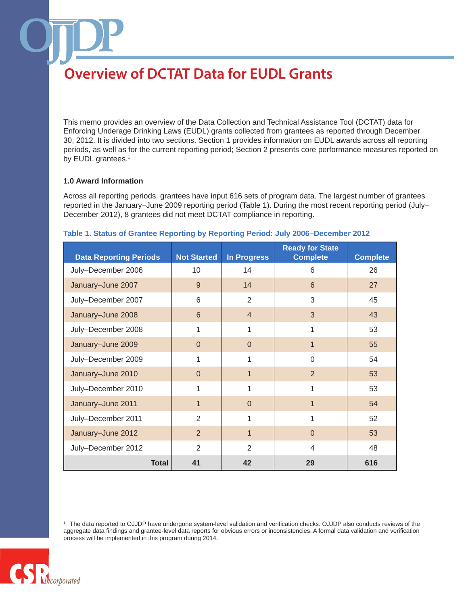This memo provides an overview of the Data Collection and Technical Assistance Tool (DCTAT) data for Enforcing Underage Drinking Laws (EUDL) grants collected from grantees as reported through December 30, 2012. It is divided into two sections. Section 1 provides information on EUDL awards across all reporting periods, as well as for the current reporting period; Section 2 presents core performance measures reported on by EUDL grantees.<sup>1</sup>

## **1.0 Award Information**

Across all reporting periods, grantees have input 616 sets of program data. The largest number of grantees reported in the January–June 2009 reporting period (Table 1). During the most recent reporting period (July– December 2012), 8 grantees did not meet DCTAT compliance in reporting.

| <b>Data Reporting Periods</b> |              | <b>Not Started</b> | <b>In Progress</b> | <b>Ready for State</b><br><b>Complete</b> | <b>Complete</b> |
|-------------------------------|--------------|--------------------|--------------------|-------------------------------------------|-----------------|
| July-December 2006            |              | 10                 | 14                 | 6                                         | 26              |
| January-June 2007             |              | 9                  | 14                 | 6                                         | 27              |
| July-December 2007            |              | 6                  | 2                  | 3                                         | 45              |
| January-June 2008             |              | 6                  | $\overline{4}$     | 3                                         | 43              |
| July-December 2008            |              | 1                  | $\mathbf{1}$       | 1                                         | 53              |
| January-June 2009             |              | $\mathbf 0$        | $\theta$           | 1                                         | 55              |
| July-December 2009            |              | 1                  | $\mathbf{1}$       | $\overline{0}$                            | 54              |
| January-June 2010             |              | $\overline{0}$     | $\mathbf{1}$       | $\overline{2}$                            | 53              |
| July-December 2010            |              | 1                  | 1                  | 1                                         | 53              |
| January-June 2011             |              | 1                  | $\overline{0}$     | 1                                         | 54              |
| July-December 2011            |              | $\overline{2}$     | 1                  | 1                                         | 52              |
| January-June 2012             |              | $\overline{2}$     | $\mathbf{1}$       | $\Omega$                                  | 53              |
| July-December 2012            |              | $\overline{2}$     | $\overline{2}$     | $\overline{4}$                            | 48              |
|                               | <b>Total</b> | 41                 | 42                 | 29                                        | 616             |

### **Table 1. Status of Grantee Reporting by Reporting Period: July 2006–December 2012**

<sup>1</sup> The data reported to OJJDP have undergone system-level validation and verification checks. OJJDP also conducts reviews of the aggregate data findings and grantee-level data reports for obvious errors or inconsistencies. A formal data validation and verification process will be implemented in this program during 2014.

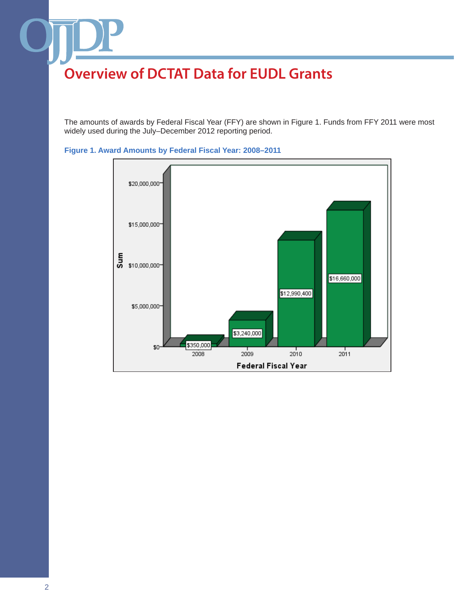The amounts of awards by Federal Fiscal Year (FFY) are shown in Figure 1. Funds from FFY 2011 were most widely used during the July–December 2012 reporting period.



**Figure 1. Award Amounts by Federal Fiscal Year: 2008–2011**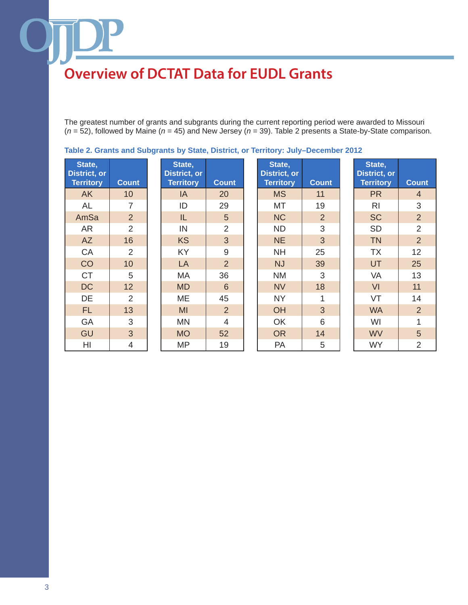The greatest number of grants and subgrants during the current reporting period were awarded to Missouri (*n* = 52), followed by Maine (*n* = 45) and New Jersey (*n* = 39). Table 2 presents a State-by-State comparison.

| State,<br><b>District, or</b><br><b>Territory</b> | <b>Count</b>   | State,<br><b>District, or</b><br><b>Territory</b> | <b>Count</b>   | State,<br><b>District, or</b><br><b>Territory</b> | <b>Count</b>   | State,<br><b>District, or</b><br><b>Territory</b> | <b>Count</b>   |
|---------------------------------------------------|----------------|---------------------------------------------------|----------------|---------------------------------------------------|----------------|---------------------------------------------------|----------------|
| <b>AK</b>                                         | 10             | IA                                                | 20             | <b>MS</b>                                         | 11             | <b>PR</b>                                         | 4              |
| AL                                                | 7              | ID                                                | 29             | MT                                                | 19             | R <sub>l</sub>                                    | 3              |
| AmSa                                              | $\overline{2}$ | IL                                                | 5              | <b>NC</b>                                         | $\overline{2}$ | <b>SC</b>                                         | 2              |
| AR                                                | $\overline{2}$ | IN                                                | $\overline{2}$ | <b>ND</b>                                         | 3              | <b>SD</b>                                         | $\overline{2}$ |
| <b>AZ</b>                                         | 16             | <b>KS</b>                                         | $\overline{3}$ | <b>NE</b>                                         | $\overline{3}$ | <b>TN</b>                                         | $\overline{2}$ |
| <b>CA</b>                                         | 2              | <b>KY</b>                                         | 9              | <b>NH</b>                                         | 25             | TX                                                | 12             |
| CO                                                | 10             | LA                                                | $\overline{2}$ | <b>NJ</b>                                         | 39             | UT                                                | 25             |
| <b>CT</b>                                         | 5              | МA                                                | 36             | <b>NM</b>                                         | 3              | VA                                                | 13             |
| <b>DC</b>                                         | 12             | <b>MD</b>                                         | 6              | <b>NV</b>                                         | 18             | VI                                                | 11             |
| DE                                                | $\overline{2}$ | ME                                                | 45             | <b>NY</b>                                         | 1              | VT                                                | 14             |
| <b>FL</b>                                         | 13             | <b>MI</b>                                         | 2              | OH                                                | 3              | <b>WA</b>                                         | 2              |
| GA                                                | 3              | <b>MN</b>                                         | 4              | OK                                                | 6              | WI                                                | 1              |
| GU                                                | 3              | <b>MO</b>                                         | 52             | <b>OR</b>                                         | 14             | <b>WV</b>                                         | 5              |
| HI                                                | 4              | <b>MP</b>                                         | 19             | PA                                                | 5              | <b>WY</b>                                         | $\overline{2}$ |

## **Table 2. Grants and Subgrants by State, District, or Territory: July–December 2012**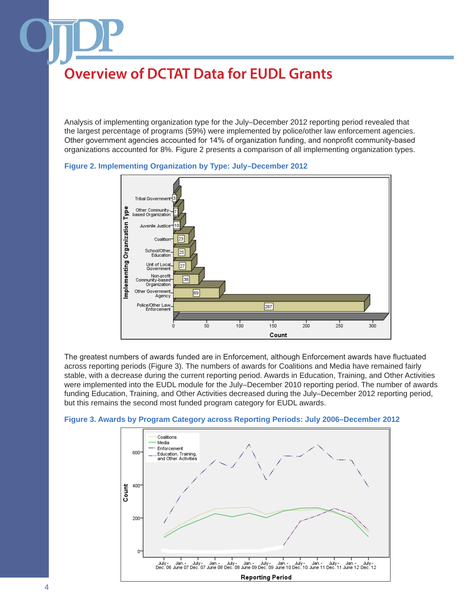Analysis of implementing organization type for the July–December 2012 reporting period revealed that the largest percentage of programs (59%) were implemented by police/other law enforcement agencies. Other government agencies accounted for 14% of organization funding, and nonprofit community-based organizations accounted for 8%. Figure 2 presents a comparison of all implementing organization types.





The greatest numbers of awards funded are in Enforcement, although Enforcement awards have fluctuated across reporting periods (Figure 3). The numbers of awards for Coalitions and Media have remained fairly stable, with a decrease during the current reporting period. Awards in Education, Training, and Other Activities were implemented into the EUDL module for the July–December 2010 reporting period. The number of awards funding Education, Training, and Other Activities decreased during the July–December 2012 reporting period, but this remains the second most funded program category for EUDL awards.



#### **Figure 3. Awards by Program Category across Reporting Periods: July 2006–December 2012**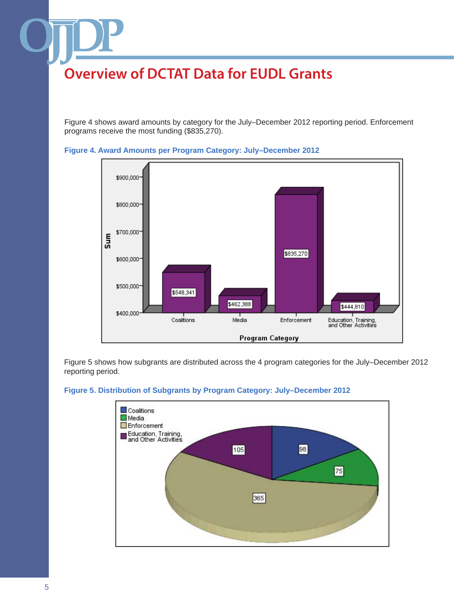Figure 4 shows award amounts by category for the July–December 2012 reporting period. Enforcement programs receive the most funding (\$835,270).





Figure 5 shows how subgrants are distributed across the 4 program categories for the July–December 2012 reporting period.

## **Figure 5. Distribution of Subgrants by Program Category: July–December 2012**

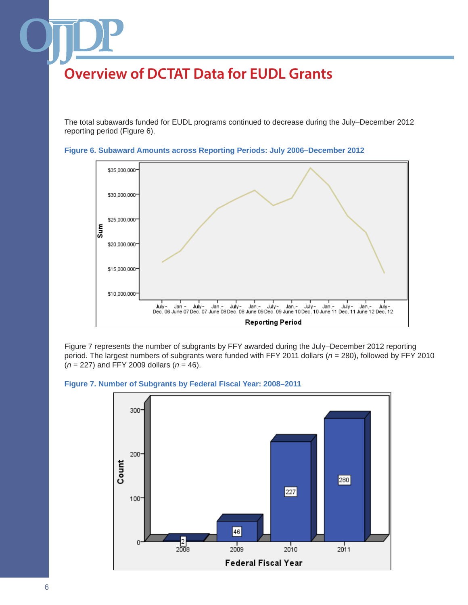The total subawards funded for EUDL programs continued to decrease during the July–December 2012 reporting period (Figure 6).





Figure 7 represents the number of subgrants by FFY awarded during the July–December 2012 reporting period. The largest numbers of subgrants were funded with FFY 2011 dollars (*n* = 280), followed by FFY 2010 (*n* = 227) and FFY 2009 dollars (*n* = 46).



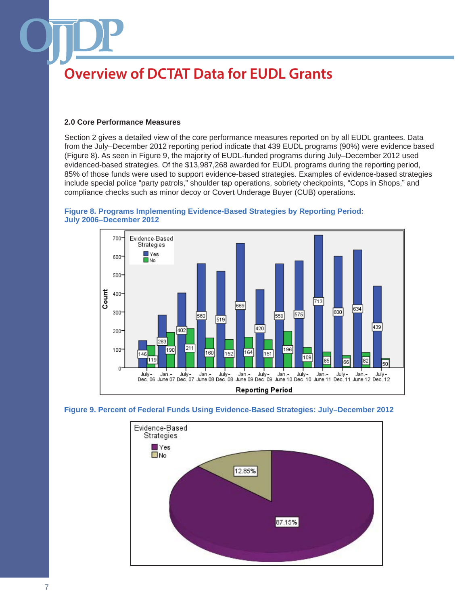## **2.0 Core Performance Measures**

Section 2 gives a detailed view of the core performance measures reported on by all EUDL grantees. Data from the July–December 2012 reporting period indicate that 439 EUDL programs (90%) were evidence based (Figure 8). As seen in Figure 9, the majority of EUDL-funded programs during July–December 2012 used evidenced-based strategies. Of the \$13,987,268 awarded for EUDL programs during the reporting period, 85% of those funds were used to support evidence-based strategies. Examples of evidence-based strategies include special police "party patrols," shoulder tap operations, sobriety checkpoints, "Cops in Shops," and compliance checks such as minor decoy or Covert Underage Buyer (CUB) operations.







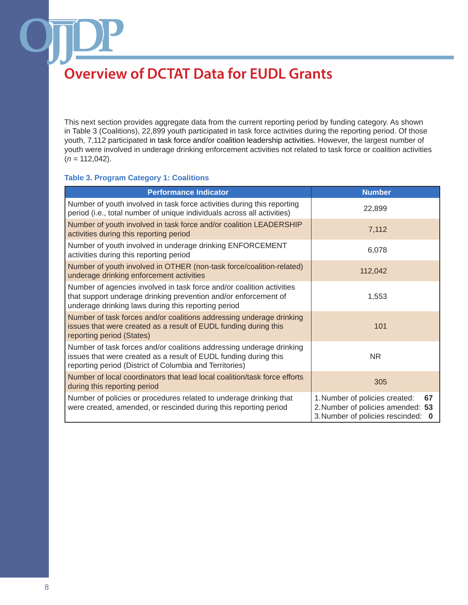This next section provides aggregate data from the current reporting period by funding category. As shown in Table 3 (Coalitions), 22,899 youth participated in task force activities during the reporting period. Of those youth, 7,112 participated in task force and/or coalition leadership activities. However, the largest number of youth were involved in underage drinking enforcement activities not related to task force or coalition activities (*n* = 112,042).

## **Table 3. Program Category 1: Coalitions**

| <b>Performance Indicator</b>                                                                                                                                                                        | <b>Number</b>                                                                                                   |
|-----------------------------------------------------------------------------------------------------------------------------------------------------------------------------------------------------|-----------------------------------------------------------------------------------------------------------------|
| Number of youth involved in task force activities during this reporting<br>period (i.e., total number of unique individuals across all activities)                                                  | 22,899                                                                                                          |
| Number of youth involved in task force and/or coalition LEADERSHIP<br>activities during this reporting period                                                                                       | 7,112                                                                                                           |
| Number of youth involved in underage drinking ENFORCEMENT<br>activities during this reporting period                                                                                                | 6,078                                                                                                           |
| Number of youth involved in OTHER (non-task force/coalition-related)<br>underage drinking enforcement activities                                                                                    | 112,042                                                                                                         |
| Number of agencies involved in task force and/or coalition activities<br>that support underage drinking prevention and/or enforcement of<br>underage drinking laws during this reporting period     | 1,553                                                                                                           |
| Number of task forces and/or coalitions addressing underage drinking<br>issues that were created as a result of EUDL funding during this<br>reporting period (States)                               | 101                                                                                                             |
| Number of task forces and/or coalitions addressing underage drinking<br>issues that were created as a result of EUDL funding during this<br>reporting period (District of Columbia and Territories) | <b>NR</b>                                                                                                       |
| Number of local coordinators that lead local coalition/task force efforts<br>during this reporting period                                                                                           | 305                                                                                                             |
| Number of policies or procedures related to underage drinking that<br>were created, amended, or rescinded during this reporting period                                                              | 1. Number of policies created:<br>67<br>2. Number of policies amended: 53<br>3. Number of policies rescinded: 0 |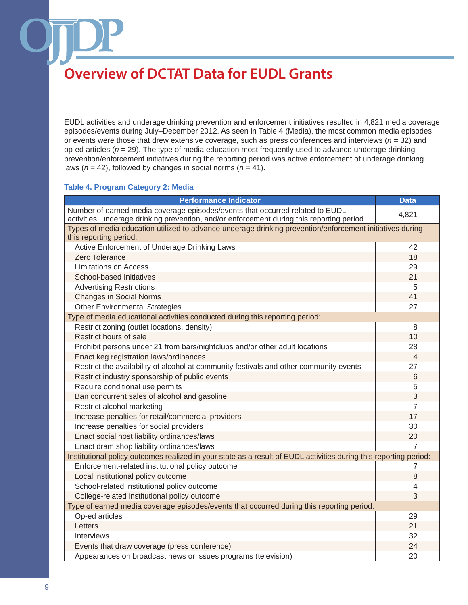EUDL activities and underage drinking prevention and enforcement initiatives resulted in 4,821 media coverage episodes/events during July–December 2012. As seen in Table 4 (Media), the most common media episodes or events were those that drew extensive coverage, such as press conferences and interviews (*n* = 32) and op-ed articles (*n* = 29). The type of media education most frequently used to advance underage drinking prevention/enforcement initiatives during the reporting period was active enforcement of underage drinking laws ( $n = 42$ ), followed by changes in social norms ( $n = 41$ ).

### **Table 4. Program Category 2: Media**

| <b>Performance Indicator</b>                                                                                                                                               | <b>Data</b>    |  |  |  |
|----------------------------------------------------------------------------------------------------------------------------------------------------------------------------|----------------|--|--|--|
| Number of earned media coverage episodes/events that occurred related to EUDL<br>activities, underage drinking prevention, and/or enforcement during this reporting period | 4,821          |  |  |  |
| Types of media education utilized to advance underage drinking prevention/enforcement initiatives during<br>this reporting period:                                         |                |  |  |  |
| Active Enforcement of Underage Drinking Laws                                                                                                                               | 42             |  |  |  |
| Zero Tolerance                                                                                                                                                             | 18             |  |  |  |
| <b>Limitations on Access</b>                                                                                                                                               | 29             |  |  |  |
| School-based Initiatives                                                                                                                                                   | 21             |  |  |  |
| <b>Advertising Restrictions</b>                                                                                                                                            | 5              |  |  |  |
| <b>Changes in Social Norms</b>                                                                                                                                             | 41             |  |  |  |
| <b>Other Environmental Strategies</b>                                                                                                                                      | 27             |  |  |  |
| Type of media educational activities conducted during this reporting period:                                                                                               |                |  |  |  |
| Restrict zoning (outlet locations, density)                                                                                                                                | 8              |  |  |  |
| Restrict hours of sale                                                                                                                                                     | 10             |  |  |  |
| Prohibit persons under 21 from bars/nightclubs and/or other adult locations                                                                                                | 28             |  |  |  |
| Enact keg registration laws/ordinances                                                                                                                                     | $\overline{4}$ |  |  |  |
| Restrict the availability of alcohol at community festivals and other community events                                                                                     | 27             |  |  |  |
| Restrict industry sponsorship of public events                                                                                                                             | 6              |  |  |  |
| Require conditional use permits                                                                                                                                            | 5              |  |  |  |
| Ban concurrent sales of alcohol and gasoline                                                                                                                               | 3              |  |  |  |
| Restrict alcohol marketing                                                                                                                                                 | $\overline{7}$ |  |  |  |
| Increase penalties for retail/commercial providers                                                                                                                         | 17             |  |  |  |
| Increase penalties for social providers                                                                                                                                    | 30             |  |  |  |
| Enact social host liability ordinances/laws                                                                                                                                | 20             |  |  |  |
| Enact dram shop liability ordinances/laws                                                                                                                                  | 7              |  |  |  |
| Institutional policy outcomes realized in your state as a result of EUDL activities during this reporting period:                                                          |                |  |  |  |
| Enforcement-related institutional policy outcome                                                                                                                           | 7              |  |  |  |
| Local institutional policy outcome                                                                                                                                         | 8              |  |  |  |
| School-related institutional policy outcome                                                                                                                                | 4              |  |  |  |
| College-related institutional policy outcome                                                                                                                               | 3              |  |  |  |
| Type of earned media coverage episodes/events that occurred during this reporting period:                                                                                  |                |  |  |  |
| Op-ed articles                                                                                                                                                             | 29             |  |  |  |
| Letters                                                                                                                                                                    | 21             |  |  |  |
| Interviews                                                                                                                                                                 | 32             |  |  |  |
| Events that draw coverage (press conference)                                                                                                                               | 24             |  |  |  |
| Appearances on broadcast news or issues programs (television)                                                                                                              | 20             |  |  |  |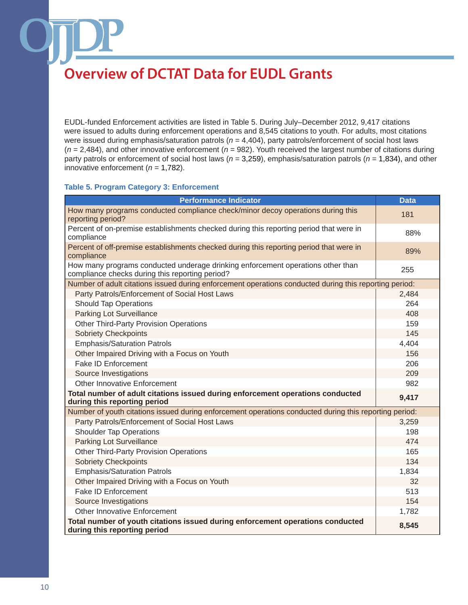EUDL-funded Enforcement activities are listed in Table 5. During July–December 2012, 9,417 citations were issued to adults during enforcement operations and 8,545 citations to youth. For adults, most citations were issued during emphasis/saturation patrols (*n* = 4,404), party patrols/enforcement of social host laws (*n* = 2,484), and other innovative enforcement (*n* = 982). Youth received the largest number of citations during party patrols or enforcement of social host laws (*n* = 3,259), emphasis/saturation patrols (*n* = 1,834), and other innovative enforcement  $(n = 1,782)$ .

### **Table 5. Program Category 3: Enforcement**

| <b>Performance Indicator</b>                                                                                                       | <b>Data</b> |
|------------------------------------------------------------------------------------------------------------------------------------|-------------|
| How many programs conducted compliance check/minor decoy operations during this<br>reporting period?                               | 181         |
| Percent of on-premise establishments checked during this reporting period that were in<br>compliance                               | 88%         |
| Percent of off-premise establishments checked during this reporting period that were in<br>compliance                              | 89%         |
| How many programs conducted underage drinking enforcement operations other than<br>compliance checks during this reporting period? | 255         |
| Number of adult citations issued during enforcement operations conducted during this reporting period:                             |             |
| Party Patrols/Enforcement of Social Host Laws                                                                                      | 2,484       |
| <b>Should Tap Operations</b>                                                                                                       | 264         |
| Parking Lot Surveillance                                                                                                           | 408         |
| <b>Other Third-Party Provision Operations</b>                                                                                      | 159         |
| <b>Sobriety Checkpoints</b>                                                                                                        | 145         |
| <b>Emphasis/Saturation Patrols</b>                                                                                                 | 4,404       |
| Other Impaired Driving with a Focus on Youth                                                                                       | 156         |
| <b>Fake ID Enforcement</b>                                                                                                         | 206         |
| Source Investigations                                                                                                              | 209         |
| Other Innovative Enforcement                                                                                                       | 982         |
| Total number of adult citations issued during enforcement operations conducted<br>during this reporting period                     | 9,417       |
| Number of youth citations issued during enforcement operations conducted during this reporting period:                             |             |
| Party Patrols/Enforcement of Social Host Laws                                                                                      | 3,259       |
| <b>Shoulder Tap Operations</b>                                                                                                     | 198         |
| <b>Parking Lot Surveillance</b>                                                                                                    | 474         |
| <b>Other Third-Party Provision Operations</b>                                                                                      | 165         |
| <b>Sobriety Checkpoints</b>                                                                                                        | 134         |
| <b>Emphasis/Saturation Patrols</b>                                                                                                 | 1,834       |
| Other Impaired Driving with a Focus on Youth                                                                                       | 32          |
| <b>Fake ID Enforcement</b>                                                                                                         | 513         |
| Source Investigations                                                                                                              | 154         |
| <b>Other Innovative Enforcement</b>                                                                                                | 1,782       |
| Total number of youth citations issued during enforcement operations conducted<br>during this reporting period                     | 8,545       |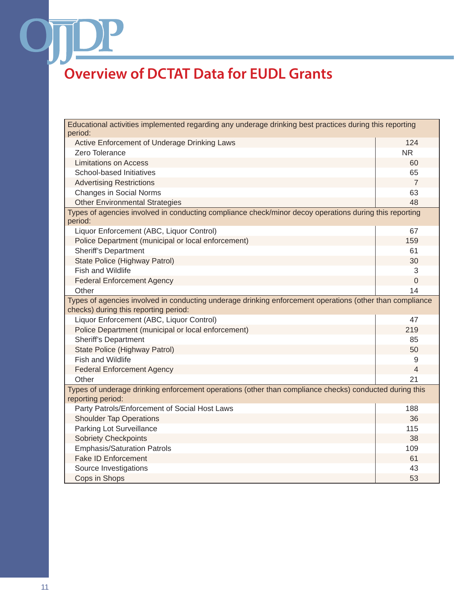| Educational activities implemented regarding any underage drinking best practices during this reporting<br>period:                                |                |  |  |  |
|---------------------------------------------------------------------------------------------------------------------------------------------------|----------------|--|--|--|
| Active Enforcement of Underage Drinking Laws                                                                                                      | 124            |  |  |  |
| Zero Tolerance                                                                                                                                    | <b>NR</b>      |  |  |  |
| <b>Limitations on Access</b>                                                                                                                      | 60             |  |  |  |
| School-based Initiatives                                                                                                                          | 65             |  |  |  |
| <b>Advertising Restrictions</b>                                                                                                                   | $\overline{7}$ |  |  |  |
| <b>Changes in Social Norms</b>                                                                                                                    | 63             |  |  |  |
| <b>Other Environmental Strategies</b>                                                                                                             | 48             |  |  |  |
| Types of agencies involved in conducting compliance check/minor decoy operations during this reporting<br>period:                                 |                |  |  |  |
| Liquor Enforcement (ABC, Liquor Control)                                                                                                          | 67             |  |  |  |
| Police Department (municipal or local enforcement)                                                                                                | 159            |  |  |  |
| Sheriff's Department                                                                                                                              | 61             |  |  |  |
| State Police (Highway Patrol)                                                                                                                     | 30             |  |  |  |
| Fish and Wildlife                                                                                                                                 | 3              |  |  |  |
| <b>Federal Enforcement Agency</b>                                                                                                                 | 0              |  |  |  |
| Other                                                                                                                                             | 14             |  |  |  |
| Types of agencies involved in conducting underage drinking enforcement operations (other than compliance<br>checks) during this reporting period: |                |  |  |  |
| Liquor Enforcement (ABC, Liquor Control)                                                                                                          | 47             |  |  |  |
| Police Department (municipal or local enforcement)                                                                                                | 219            |  |  |  |
| <b>Sheriff's Department</b>                                                                                                                       | 85             |  |  |  |
| State Police (Highway Patrol)                                                                                                                     | 50             |  |  |  |
| Fish and Wildlife                                                                                                                                 | 9              |  |  |  |
| <b>Federal Enforcement Agency</b>                                                                                                                 | 4              |  |  |  |
| Other                                                                                                                                             | 21             |  |  |  |
| Types of underage drinking enforcement operations (other than compliance checks) conducted during this<br>reporting period:                       |                |  |  |  |
| Party Patrols/Enforcement of Social Host Laws                                                                                                     | 188            |  |  |  |
| <b>Shoulder Tap Operations</b>                                                                                                                    | 36             |  |  |  |
| Parking Lot Surveillance                                                                                                                          | 115            |  |  |  |
| <b>Sobriety Checkpoints</b>                                                                                                                       | 38             |  |  |  |
| <b>Emphasis/Saturation Patrols</b>                                                                                                                | 109            |  |  |  |
| <b>Fake ID Enforcement</b>                                                                                                                        | 61             |  |  |  |
| Source Investigations                                                                                                                             | 43             |  |  |  |
| Cops in Shops                                                                                                                                     | 53             |  |  |  |

 $\mathbf{O}\mathbf{I}$